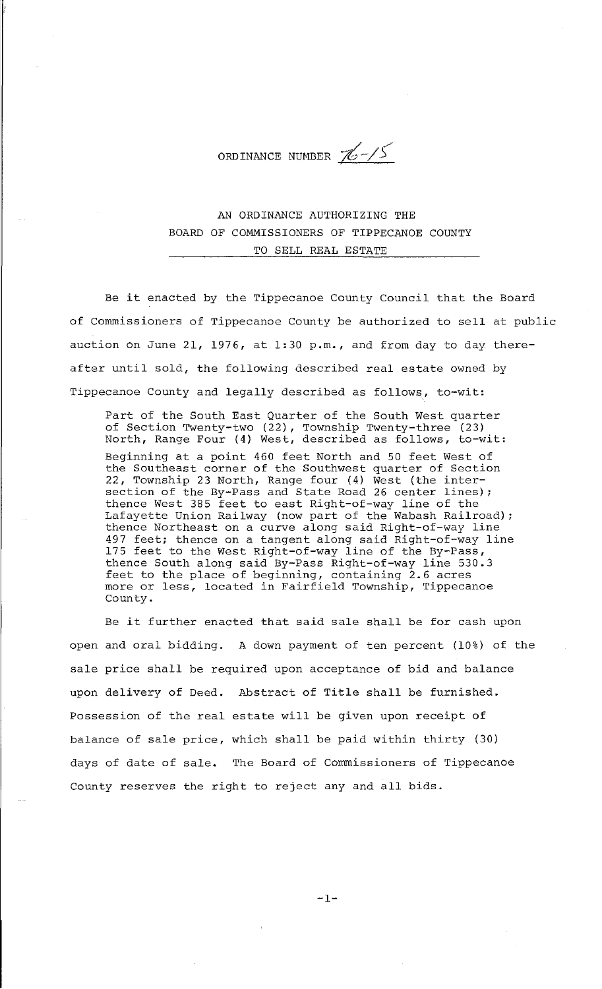ORDINANCE NUMBER  $\mathcal{U}$ -/5

AN ORDINANCE AUTHORIZING THE BOARD OF COMMISSIONERS OF TIPPECANOE COUNTY TO SELL REAL ESTATE

Be it enacted by the Tippecanoe County Council that the Board of Commissioners of Tippecanoe County be authorized to sell at public auction on June 21, 1976, at 1:30 p.m., and from day to day thereafter until sold, the following described real estate owned by Tippecanoe County and legally described as follows, to-wit:

Part of the South East Quarter of the South West quarter of Section Twenty-two (22), Township Twenty-three (23) North, Range Four (4) West, described as follows, to-wit: Beginning at a point 460 feet North and 50 feet West of the Southeast corner of the Southwest quarter of Section 22, Township 23 North, Range four (4) West (the intersection of the By-Pass and State Road 26 center lines); thence West 385 feet to east Right-of-way line of the Lafayette Union Railway (now part of the Wabash Railroad); thence Northeast on a curve along said Right-of-way line 497 feet; thence on a tangent along said Right-of-way line 175 feet to the West Right-of-way line of the By-Pass, thence South along said By-Pass Right-of-way line 530.3 feet to the place of beginning, containing 2.6 acres more or less, located in Fairfield Township, Tippecanoe County.

Be it further enacted that said sale shall be for cash upon open and oral bidding. A down payment of ten percent (10%) of the sale price shall be required upon acceptance of bid and balance upon delivery of Deed. Abstract of Title shall be furnished. Possession of the real estate will be given upon receipt of balance of sale price, which shall be paid within thirty (30) days of date of sale. The Board of Commissioners of Tippecanoe County reserves the right to reject any and all bids.

 $-1-$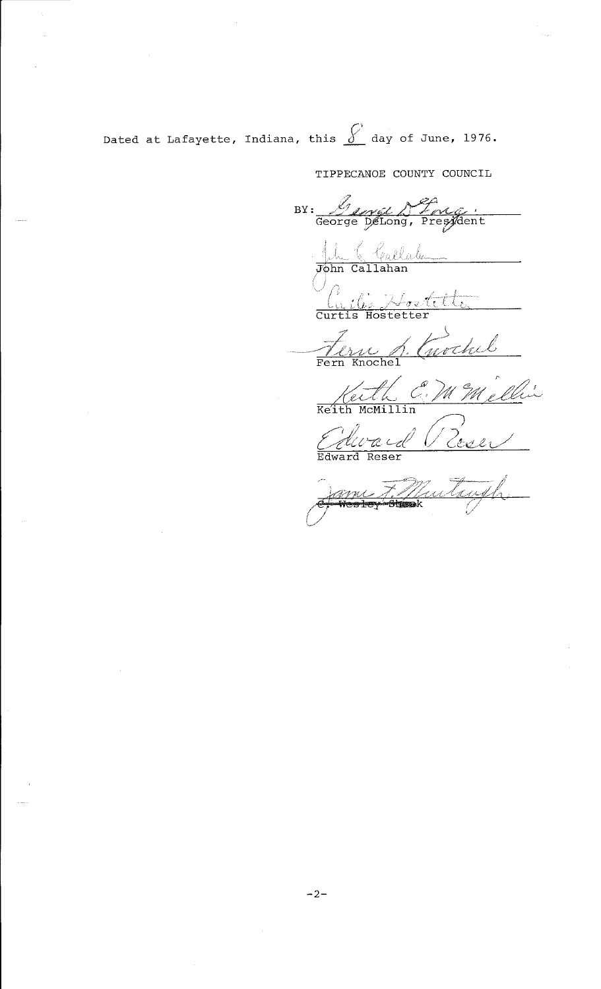Dated at Lafayette, Indiana, this  $\oint$  day of June, 1976.

TIPPECANOE COUNTY COUNCIL

BY: Long Deng . July Challale Cuile Hoetette Terne S. Cuvchel Keith C. M M'ellin Avaid Perei

Jame F Mutruph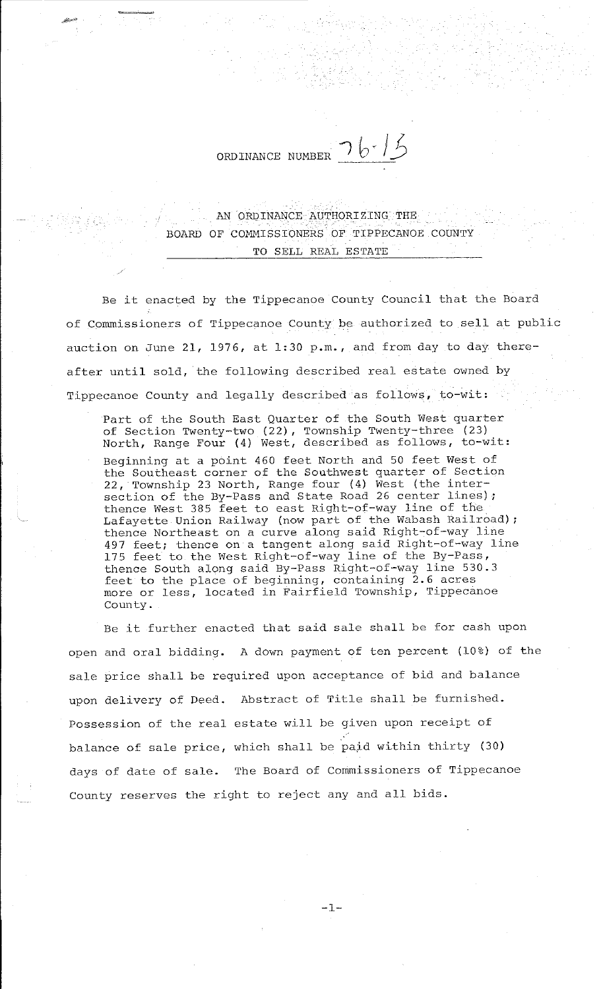ORDINANCE NUMBER  $\frac{76.75}{}$ 

~""'

AN ORDINANCE AUTHORIZING THE BOARD OF COMMISSIONERS OF TIPPECANOE COUNTY TO SELL REAL ESTATE

Be it enacted by the Tippecanoe County Council that the Board of Commissioners of Tippecanoe County be authorized to sell at public auction on June 21, 1976, at 1:30 p.m., and from day to day thereafter until sold, the following described real estate owned by Tippecanoe County and legally described as follows, to-wit:

Part of the South East Quarter of the South West quarter of Section Twenty-two (22), Township Twenty-three (23) North, Range Four (4) West, described as follows, to-wit: Beginning at a point 460 feet North and 50 feet West of the Southeast corner of the Southwest quarter of Section 22, Township 23 North, Range four (4) West (the intersection of the By-Pass and State Road 26 center lines) ; thence West 385 feet to east Right-of-way line of the Lafayette Union Railway (now part of the Wabash Railroad) ; thence Northeast on a curve along said Right-of-way line 497 feet; thence on a tangent along said Right-of-way line 175 feet to the West Right-of-way line of the By-Pass, thence South along said By-Pass Right-of-way line 530.3 feet to the place of beginning, containing 2.6 acres more or less, located in Fairfield Township, Tippecanoe County.

Be it further enacted that said sale shall be for cash upon open and oral bidding. A down payment of ten percent (10%) of the sale price shall be required upon acceptance of bid and balance upon delivery of Deed. Abstract of Title shall be furnished. Possession of the real estate will be given upon receipt of balance of sale price, which shall be paid within thirty (30) days of date of sale. The Board of Commissioners of Tippecanoe County reserves the right to reject any and all bids.

-1-